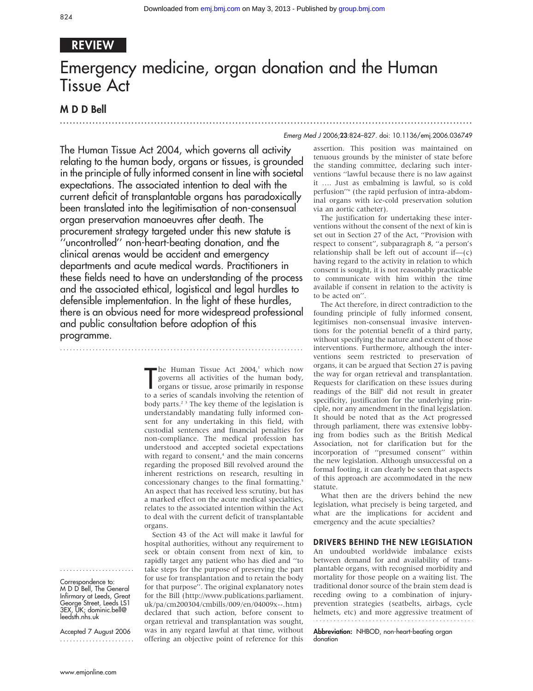# **REVIEW**

# Emergency medicine, organ donation and the Human Tissue Act

.............................................................................................................................. .

## M D D Bell

#### Emerg Med J 2006;23:824–827. doi: 10.1136/emj.2006.036749

The Human Tissue Act 2004, which governs all activity relating to the human body, organs or tissues, is grounded in the principle of fully informed consent in line with societal expectations. The associated intention to deal with the current deficit of transplantable organs has paradoxically been translated into the legitimisation of non-consensual organ preservation manoeuvres after death. The procurement strategy targeted under this new statute is ''uncontrolled'' non-heart-beating donation, and the clinical arenas would be accident and emergency departments and acute medical wards. Practitioners in these fields need to have an understanding of the process and the associated ethical, logistical and legal hurdles to defensible implementation. In the light of these hurdles, there is an obvious need for more widespread professional and public consultation before adoption of this programme.

...........................................................................

The Human Tissue Act 2004,' which now<br>governs all activities of the human body,<br>organs or tissue, arose primarily in response<br>to a series of scandals involving the retention of  $=$ he Human Tissue Act 2004, $^1$  which now governs all activities of the human body, organs or tissue, arose primarily in response body parts.<sup>2 3</sup> The key theme of the legislation is understandably mandating fully informed consent for any undertaking in this field, with custodial sentences and financial penalties for non-compliance. The medical profession has understood and accepted societal expectations with regard to consent,<sup>4</sup> and the main concerns regarding the proposed Bill revolved around the inherent restrictions on research, resulting in concessionary changes to the final formatting.<sup>5</sup> An aspect that has received less scrutiny, but has a marked effect on the acute medical specialties, relates to the associated intention within the Act to deal with the current deficit of transplantable organs.

Section 43 of the Act will make it lawful for hospital authorities, without any requirement to seek or obtain consent from next of kin, to rapidly target any patient who has died and ''to take steps for the purpose of preserving the part for use for transplantation and to retain the body for that purpose''. The original explanatory notes for the Bill (http://www.publications.parliament. uk/pa/cm200304/cmbills/009/en/04009x--.htm) declared that such action, before consent to organ retrieval and transplantation was sought, was in any regard lawful at that time, without offering an objective point of reference for this

assertion. This position was maintained on tenuous grounds by the minister of state before the standing committee, declaring such interventions ''lawful because there is no law against it …. Just as embalming is lawful, so is cold perfusion''6 (the rapid perfusion of intra-abdominal organs with ice-cold preservation solution via an aortic catheter).

The justification for undertaking these interventions without the consent of the next of kin is set out in Section 27 of the Act, ''Provision with respect to consent'', subparagraph 8, ''a person's relationship shall be left out of account if- $(c)$ having regard to the activity in relation to which consent is sought, it is not reasonably practicable to communicate with him within the time available if consent in relation to the activity is to be acted on''.

The Act therefore, in direct contradiction to the founding principle of fully informed consent, legitimises non-consensual invasive interventions for the potential benefit of a third party, without specifying the nature and extent of those interventions. Furthermore, although the interventions seem restricted to preservation of organs, it can be argued that Section 27 is paving the way for organ retrieval and transplantation. Requests for clarification on these issues during readings of the Bill<sup>6</sup> did not result in greater specificity, justification for the underlying principle, nor any amendment in the final legislation. It should be noted that as the Act progressed through parliament, there was extensive lobbying from bodies such as the British Medical Association, not for clarification but for the incorporation of ''presumed consent'' within the new legislation. Although unsuccessful on a formal footing, it can clearly be seen that aspects of this approach are accommodated in the new statute.

What then are the drivers behind the new legislation, what precisely is being targeted, and what are the implications for accident and emergency and the acute specialties?

#### DRIVERS BEHIND THE NEW LEGISLATION

An undoubted worldwide imbalance exists between demand for and availability of transplantable organs, with recognised morbidity and mortality for those people on a waiting list. The traditional donor source of the brain stem dead is receding owing to a combination of injuryprevention strategies (seatbelts, airbags, cycle helmets, etc) and more aggressive treatment of 

Abbreviation: NHBOD, non-heart-beating organ donation

Correspondence to: M D D' Bell, The General Infirmary at Leeds, Great George Street, Leeds LS1 3EX, UK; dominic.bell@ leedsth.nhs.uk

.......................

Accepted 7 August 2006 .......................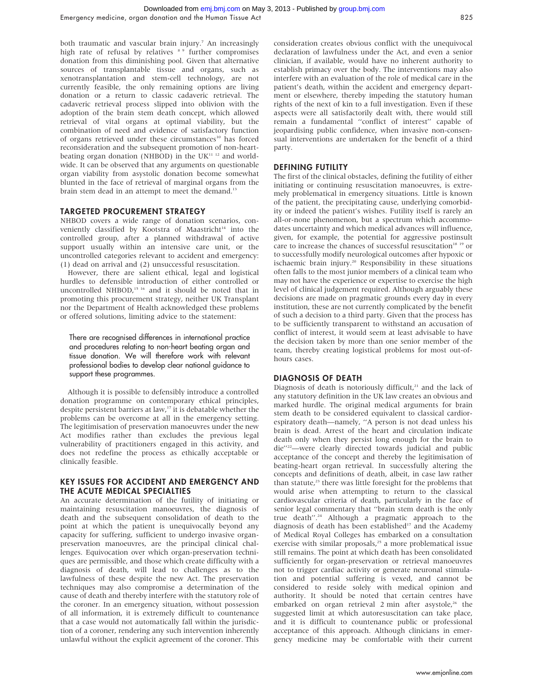both traumatic and vascular brain injury.<sup>7</sup> An increasingly high rate of refusal by relatives <sup>8 9</sup> further compromises donation from this diminishing pool. Given that alternative sources of transplantable tissue and organs, such as xenotransplantation and stem-cell technology, are not currently feasible, the only remaining options are living donation or a return to classic cadaveric retrieval. The cadaveric retrieval process slipped into oblivion with the adoption of the brain stem death concept, which allowed retrieval of vital organs at optimal viability, but the combination of need and evidence of satisfactory function of organs retrieved under these circumstances<sup>10</sup> has forced reconsideration and the subsequent promotion of non-heartbeating organ donation (NHBOD) in the UK $^{11}$  <sup>12</sup> and worldwide. It can be observed that any arguments on questionable organ viability from asystolic donation become somewhat blunted in the face of retrieval of marginal organs from the brain stem dead in an attempt to meet the demand.<sup>13</sup>

#### TARGETED PROCUREMENT STRATEGY

NHBOD covers a wide range of donation scenarios, conveniently classified by Kootstra of Maastricht<sup>14</sup> into the controlled group, after a planned withdrawal of active support usually within an intensive care unit, or the uncontrolled categories relevant to accident and emergency: (1) dead on arrival and (2) unsuccessful resuscitation.

However, there are salient ethical, legal and logistical hurdles to defensible introduction of either controlled or uncontrolled NHBOD,<sup>15 16</sup> and it should be noted that in promoting this procurement strategy, neither UK Transplant nor the Department of Health acknowledged these problems or offered solutions, limiting advice to the statement:

There are recognised differences in international practice and procedures relating to non-heart beating organ and tissue donation. We will therefore work with relevant professional bodies to develop clear national guidance to support these programmes.

Although it is possible to defensibly introduce a controlled donation programme on contemporary ethical principles, despite persistent barriers at law,<sup>17</sup> it is debatable whether the problems can be overcome at all in the emergency setting. The legitimisation of preservation manoeuvres under the new Act modifies rather than excludes the previous legal vulnerability of practitioners engaged in this activity, and does not redefine the process as ethically acceptable or clinically feasible.

#### KEY ISSUES FOR ACCIDENT AND EMERGENCY AND THE ACUTE MEDICAL SPECIALTIES

An accurate determination of the futility of initiating or maintaining resuscitation manoeuvres, the diagnosis of death and the subsequent consolidation of death to the point at which the patient is unequivocally beyond any capacity for suffering, sufficient to undergo invasive organpreservation manoeuvres, are the principal clinical challenges. Equivocation over which organ-preservation techniques are permissible, and those which create difficulty with a diagnosis of death, will lead to challenges as to the lawfulness of these despite the new Act. The preservation techniques may also compromise a determination of the cause of death and thereby interfere with the statutory role of the coroner. In an emergency situation, without possession of all information, it is extremely difficult to countenance that a case would not automatically fall within the jurisdiction of a coroner, rendering any such intervention inherently unlawful without the explicit agreement of the coroner. This

consideration creates obvious conflict with the unequivocal declaration of lawfulness under the Act, and even a senior clinician, if available, would have no inherent authority to establish primacy over the body. The interventions may also interfere with an evaluation of the role of medical care in the patient's death, within the accident and emergency department or elsewhere, thereby impeding the statutory human rights of the next of kin to a full investigation. Even if these aspects were all satisfactorily dealt with, there would still remain a fundamental ''conflict of interest'' capable of jeopardising public confidence, when invasive non-consensual interventions are undertaken for the benefit of a third party.

#### DEFINING FUTILITY

The first of the clinical obstacles, defining the futility of either initiating or continuing resuscitation manoeuvres, is extremely problematical in emergency situations. Little is known of the patient, the precipitating cause, underlying comorbidity or indeed the patient's wishes. Futility itself is rarely an all-or-none phenomenon, but a spectrum which accommodates uncertainty and which medical advances will influence, given, for example, the potential for aggressive postinsult care to increase the chances of successful resuscitation<sup>18</sup> <sup>19</sup> or to successfully modify neurological outcomes after hypoxic or ischaemic brain injury.20 Responsibility in these situations often falls to the most junior members of a clinical team who may not have the experience or expertise to exercise the high level of clinical judgement required. Although arguably these decisions are made on pragmatic grounds every day in every institution, these are not currently complicated by the benefit of such a decision to a third party. Given that the process has to be sufficiently transparent to withstand an accusation of conflict of interest, it would seem at least advisable to have the decision taken by more than one senior member of the team, thereby creating logistical problems for most out-ofhours cases.

#### DIAGNOSIS OF DEATH

Diagnosis of death is notoriously difficult, $21$  and the lack of any statutory definition in the UK law creates an obvious and marked hurdle. The original medical arguments for brain stem death to be considered equivalent to classical cardiorespiratory death—namely, ''A person is not dead unless his brain is dead. Arrest of the heart and circulation indicate death only when they persist long enough for the brain to die''22—were clearly directed towards judicial and public acceptance of the concept and thereby the legitimisation of beating-heart organ retrieval. In successfully altering the concepts and definitions of death, albeit, in case law rather than statute, $23$  there was little foresight for the problems that would arise when attempting to return to the classical cardiovascular criteria of death, particularly in the face of senior legal commentary that ''brain stem death is the only true death''.24 Although a pragmatic approach to the diagnosis of death has been established<sup>17</sup> and the Academy of Medical Royal Colleges has embarked on a consultation exercise with similar proposals,<sup>25</sup> a more problematical issue still remains. The point at which death has been consolidated sufficiently for organ-preservation or retrieval manoeuvres not to trigger cardiac activity or generate neuronal stimulation and potential suffering is vexed, and cannot be considered to reside solely with medical opinion and authority. It should be noted that certain centres have embarked on organ retrieval 2 min after asystole,<sup>26</sup> the suggested limit at which autoresuscitation can take place, and it is difficult to countenance public or professional acceptance of this approach. Although clinicians in emergency medicine may be comfortable with their current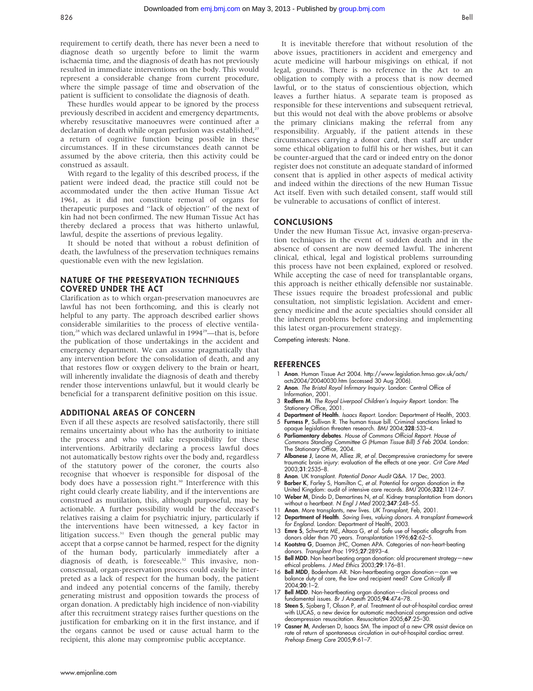requirement to certify death, there has never been a need to diagnose death so urgently before to limit the warm ischaemia time, and the diagnosis of death has not previously resulted in immediate interventions on the body. This would represent a considerable change from current procedure, where the simple passage of time and observation of the patient is sufficient to consolidate the diagnosis of death.

These hurdles would appear to be ignored by the process previously described in accident and emergency departments, whereby resuscitative manoeuvres were continued after a declaration of death while organ perfusion was established,<sup>27</sup> a return of cognitive function being possible in these circumstances. If in these circumstances death cannot be assumed by the above criteria, then this activity could be construed as assault.

With regard to the legality of this described process, if the patient were indeed dead, the practice still could not be accommodated under the then active Human Tissue Act 1961, as it did not constitute removal of organs for therapeutic purposes and ''lack of objection'' of the next of kin had not been confirmed. The new Human Tissue Act has thereby declared a process that was hitherto unlawful, lawful, despite the assertions of previous legality.

It should be noted that without a robust definition of death, the lawfulness of the preservation techniques remains questionable even with the new legislation.

#### NATURE OF THE PRESERVATION TECHNIQUES COVERED UNDER THE ACT

Clarification as to which organ-preservation manoeuvres are lawful has not been forthcoming, and this is clearly not helpful to any party. The approach described earlier shows considerable similarities to the process of elective ventilation,<sup>28</sup> which was declared unlawful in 1994<sup>29</sup>—that is, before the publication of those undertakings in the accident and emergency department. We can assume pragmatically that any intervention before the consolidation of death, and any that restores flow or oxygen delivery to the brain or heart, will inherently invalidate the diagnosis of death and thereby render those interventions unlawful, but it would clearly be beneficial for a transparent definitive position on this issue.

#### ADDITIONAL AREAS OF CONCERN

Even if all these aspects are resolved satisfactorily, there still remains uncertainty about who has the authority to initiate the process and who will take responsibility for these interventions. Arbitrarily declaring a process lawful does not automatically bestow rights over the body and, regardless of the statutory power of the coroner, the courts also recognise that whoever is responsible for disposal of the body does have a possession right.<sup>30</sup> Interference with this right could clearly create liability, and if the interventions are construed as mutilation, this, although purposeful, may be actionable. A further possibility would be the deceased's relatives raising a claim for psychiatric injury, particularly if the interventions have been witnessed, a key factor in litigation success.<sup>31</sup> Even though the general public may accept that a corpse cannot be harmed, respect for the dignity of the human body, particularly immediately after a diagnosis of death, is foreseeable.<sup>32</sup> This invasive, nonconsensual, organ-preservation process could easily be interpreted as a lack of respect for the human body, the patient and indeed any potential concerns of the family, thereby generating mistrust and opposition towards the process of organ donation. A predictably high incidence of non-viability after this recruitment strategy raises further questions on the justification for embarking on it in the first instance, and if the organs cannot be used or cause actual harm to the recipient, this alone may compromise public acceptance.

It is inevitable therefore that without resolution of the above issues, practitioners in accident and emergency and acute medicine will harbour misgivings on ethical, if not legal, grounds. There is no reference in the Act to an obligation to comply with a process that is now deemed lawful, or to the status of conscientious objection, which leaves a further hiatus. A separate team is proposed as responsible for these interventions and subsequent retrieval, but this would not deal with the above problems or absolve the primary clinicians making the referral from any responsibility. Arguably, if the patient attends in these circumstances carrying a donor card, then staff are under some ethical obligation to fulfil his or her wishes, but it can be counter-argued that the card or indeed entry on the donor register does not constitute an adequate standard of informed consent that is applied in other aspects of medical activity and indeed within the directions of the new Human Tissue Act itself. Even with such detailed consent, staff would still be vulnerable to accusations of conflict of interest.

#### **CONCLUSIONS**

Under the new Human Tissue Act, invasive organ-preservation techniques in the event of sudden death and in the absence of consent are now deemed lawful. The inherent clinical, ethical, legal and logistical problems surrounding this process have not been explained, explored or resolved. While accepting the case of need for transplantable organs, this approach is neither ethically defensible nor sustainable. These issues require the broadest professional and public consultation, not simplistic legislation. Accident and emergency medicine and the acute specialties should consider all the inherent problems before endorsing and implementing this latest organ-procurement strategy.

Competing interests: None.

#### REFERENCES

- Anon. Human Tissue Act 2004. http://www.legislation.hmso.gov.uk/acts/ acts2004/20040030.htm (accessed 30 Aug 2006).
- 2 Anon. The Bristol Royal Infirmary Inquiry. London: Central Office of Information, 2001.
- 3 Redfern M. The Royal Liverpool Children's Inquiry Report. London: The Stationery Office, 2001.
- 4 Department of Health. Isaacs Report. London: Department of Health, 2003. 5 Furness P, Sullivan R. The human tissue bill. Criminal sanctions linked to
- opaque legislation threaten research. BMJ 2004;328:533–4. 6 Parliamentary debates. House of Commons Official Report. House of Commons Standing Committee G (Human Tissue Bill) 5 Feb 2004. London: The Stationary Office, 2004.
- 7 Albanese J, Leone M, Alliez JR, et al. Decompressive craniectomy for severe traumatic brain injury: evaluation of the effects at one year. Crit Care Med 2003;31:2535–8.
- 8 Anon. UK transplant. Potential Donor Audit Q&A. 17 Dec, 2003.
- 9 Barber K, Farley S, Hamilton C, et al. Potential for organ donation in the
- United Kingdom: audit of intensive care records. BMJ 2006;332:1124–7. 10 Weber M, Dindo D, Demartines N, et al. Kidney transplantation from donors without a heartbeat. N Engl J Med 2002;347:248-55.
- 11 Anon. More transplants, new lives. UK Transplant, Feb, 2001.
- 12 Department of Health. Saving lives, valuing donors. A transplant framework for England. London: Department of Health, 2003.
- 13 **Emre S**, Schwartz ME, Altaca G, et al. Safe use of hepatic allografts from donors older than 70 years. Transplantation 1996;62:62–5.
- 14 Kootstra G, Daemon JHC, Oomen APA. Categories of non-heart-beating donors. Transplant Proc 1995;27:2893–4.
- 15 Bell MDD. Non heart beating organ donation: old procurement strategy—new ethical problems. J Med Ethics 2003;29:176–81.
- 16 Bell MDD, Bodenham AR. Non-heartbeating organ donation—can we balance duty of care, the law and recipient need? Care Critically Ill 2004;20:1–2.
- 17 Bell MDD. Non-heartbeating organ donation—clinical process and fundamental issues. Br J Anaesth 2005;94:474–78.
- 18 Steen S, Sjoberg T, Olsson P, et al. Treatment of out-of-hospital cardiac arrest with LUCAS, a new device for automatic mechanical compression and active decompression resuscitation. Resuscitation 2005;67:25-30.
- 19 Casner M, Andersen D, Isaacs SM. The impact of a new CPR assist device on rate of return of spontaneous circulation in out-of-hospital cardiac arrest. Prehosp Emerg Care 2005;9:61–7.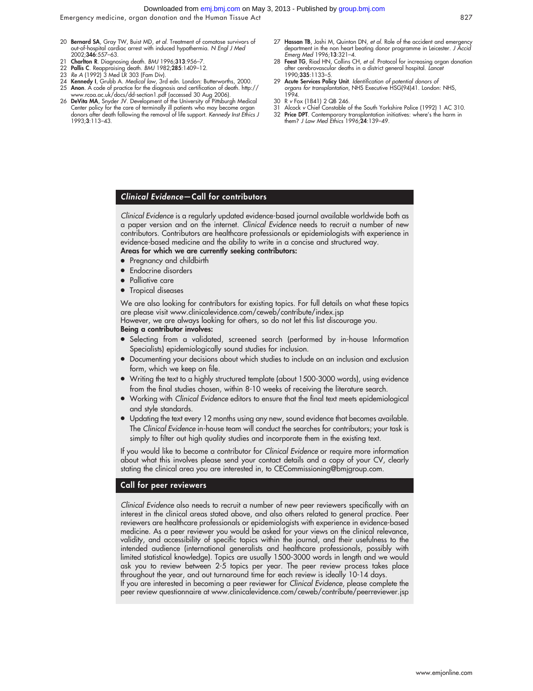#### Downloaded from [emj.bmj.com](http://emj.bmj.com/) on May 3, 2013 - Published by [group.bmj.com](http://group.bmj.com/)

Emergency medicine, organ donation and the Human Tissue Act 827

- 20 Bernard SA, Gray TW, Buist MD, et al. Treatment of comatose survivors of out-of-hospital cardiac arrest with induced hypothermia. N Engl J Med 2002;346:557–63.
- Charlton R. Diagnosing death. BMJ 1996;313:956-7
- 22 Pallis C. Reappraising death. BMJ 1982;285:1409–12.
- 23 Re A (1992) 3 Med LR 303 (Fam Div).
- 24 Kennedy I, Grubb A. Medical law, 3rd edn. London: Butterworths, 2000.
- 25 Anon. A code of practice for the diagnosis and certification of death. http:// www.rcoa.ac.uk/docs/dd-section1.pdf (accessed 30 Aug 2006). 26 DeVita MA, Snyder JV. Development of the University of Pittsburgh Medical
- Center policy for the care of terminally ill patients who may become organ donors after death following the removal of life support. Kennedy Inst Ethics J 1993;3:113–43.
- 27 Hassan TB, Joshi M, Quinton DN, et al. Role of the accident and emergency department in the non heart beating donor programme in Leicester. J Accid Emerg Med 1996;13:321–4.
- 28 Feest TG, Riad HN, Collins CH, et al. Protocol for increasing organ donation after cerebrovascular deaths in a district general hospital. Lancet 1990;335:1133–5.
- 29 Acute Services Policy Unit. Identification of potential donors of organs for transplantation, NHS Executive HSG(94)41. London: NHS, 1994.
- 30 R v Fox (1841) 2 QB 246.
- Alcock v Chief Constable of the South Yorkshire Police (1992) 1 AC 310.
- 32 Price DPT. Contemporary transplantation initiatives: where's the harm in them? J Law Med Ethics 1996;24:139–49.

### Clinical Evidence—Call for contributors

Clinical Evidence is a regularly updated evidence-based journal available worldwide both as a paper version and on the internet. Clinical Evidence needs to recruit a number of new contributors. Contributors are healthcare professionals or epidemiologists with experience in evidence-based medicine and the ability to write in a concise and structured way. Areas for which we are currently seeking contributors:

## • Pregnancy and childbirth

- Endocrine disorders
- 
- Palliative care
- Tropical diseases

We are also looking for contributors for existing topics. For full details on what these topics are please visit www.clinicalevidence.com/ceweb/contribute/index.jsp

However, we are always looking for others, so do not let this list discourage you. Being a contributor involves:

- Selecting from a validated, screened search (performed by in-house Information Specialists) epidemiologically sound studies for inclusion.
- N Documenting your decisions about which studies to include on an inclusion and exclusion form, which we keep on file.
- Writing the text to a highly structured template (about 1500-3000 words), using evidence from the final studies chosen, within 8-10 weeks of receiving the literature search.
- Working with Clinical Evidence editors to ensure that the final text meets epidemiological and style standards.
- N Updating the text every 12 months using any new, sound evidence that becomes available. The Clinical Evidence in-house team will conduct the searches for contributors; your task is simply to filter out high quality studies and incorporate them in the existing text.

If you would like to become a contributor for Clinical Evidence or require more information about what this involves please send your contact details and a copy of your CV, clearly stating the clinical area you are interested in, to CECommissioning@bmjgroup.com.

## Call for peer reviewers

Clinical Evidence also needs to recruit a number of new peer reviewers specifically with an interest in the clinical areas stated above, and also others related to general practice. Peer reviewers are healthcare professionals or epidemiologists with experience in evidence-based medicine. As a peer reviewer you would be asked for your views on the clinical relevance, validity, and accessibility of specific topics within the journal, and their usefulness to the intended audience (international generalists and healthcare professionals, possibly with limited statistical knowledge). Topics are usually 1500-3000 words in length and we would ask you to review between 2-5 topics per year. The peer review process takes place throughout the year, and out turnaround time for each review is ideally 10-14 days.

If you are interested in becoming a peer reviewer for Clinical Evidence, please complete the peer review questionnaire at www.clinicalevidence.com/ceweb/contribute/peerreviewer.jsp